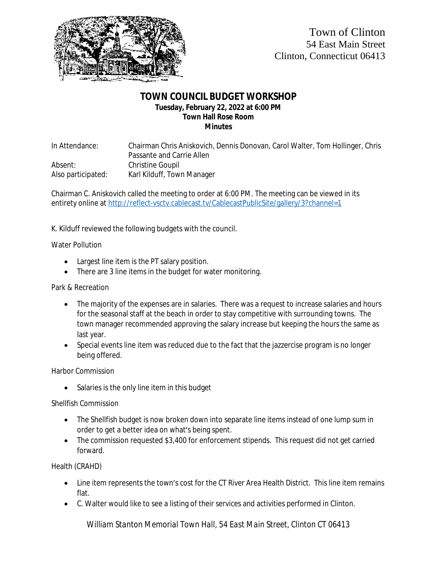

### **TOWN COUNCIL BUDGET WORKSHOP Tuesday, February 22, 2022 at 6:00 PM Town Hall Rose Room Minutes**

In Attendance: Chairman Chris Aniskovich, Dennis Donovan, Carol Walter, Tom Hollinger, Chris Passante and Carrie Allen Absent: Christine Goupil Also participated: Karl Kilduff, Town Manager

Chairman C. Aniskovich called the meeting to order at 6:00 PM. The meeting can be viewed in its entirety online at <http://reflect-vsctv.cablecast.tv/CablecastPublicSite/gallery/3?channel=1>

K. Kilduff reviewed the following budgets with the council.

#### Water Pollution

- Largest line item is the PT salary position.
- There are 3 line items in the budget for water monitoring.

#### Park & Recreation

- The majority of the expenses are in salaries. There was a request to increase salaries and hours for the seasonal staff at the beach in order to stay competitive with surrounding towns. The town manager recommended approving the salary increase but keeping the hours the same as last year.
- Special events line item was reduced due to the fact that the jazzercise program is no longer being offered.

Harbor Commission

• Salaries is the only line item in this budget

### Shellfish Commission

- The Shellfish budget is now broken down into separate line items instead of one lump sum in order to get a better idea on what's being spent.
- The commission requested \$3,400 for enforcement stipends. This request did not get carried forward.

Health (CRAHD)

- Line item represents the town's cost for the CT River Area Health District. This line item remains flat.
- C. Walter would like to see a listing of their services and activities performed in Clinton.

*William Stanton Memorial Town Hall, 54 East Main Street, Clinton CT 06413*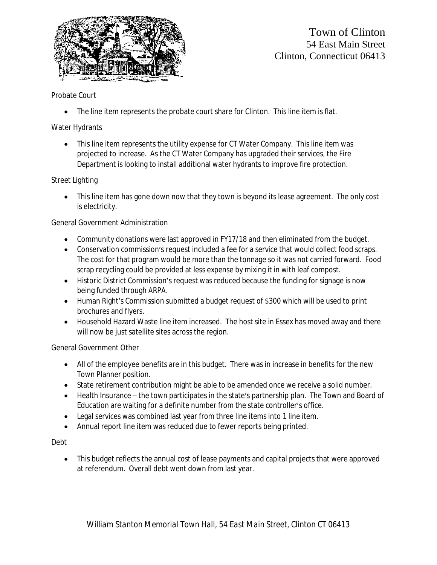

# Town of Clinton 54 East Main Street Clinton, Connecticut 06413

## Probate Court

• The line item represents the probate court share for Clinton. This line item is flat.

# Water Hydrants

 This line item represents the utility expense for CT Water Company. This line item was projected to increase. As the CT Water Company has upgraded their services, the Fire Department is looking to install additional water hydrants to improve fire protection.

## Street Lighting

• This line item has gone down now that they town is beyond its lease agreement. The only cost is electricity.

## General Government Administration

- Community donations were last approved in FY17/18 and then eliminated from the budget.
- Conservation commission's request included a fee for a service that would collect food scraps. The cost for that program would be more than the tonnage so it was not carried forward. Food scrap recycling could be provided at less expense by mixing it in with leaf compost.
- Historic District Commission's request was reduced because the funding for signage is now being funded through ARPA.
- Human Right's Commission submitted a budget request of \$300 which will be used to print brochures and flyers.
- Household Hazard Waste line item increased. The host site in Essex has moved away and there will now be just satellite sites across the region.

### General Government Other

- All of the employee benefits are in this budget. There was in increase in benefits for the new Town Planner position.
- State retirement contribution might be able to be amended once we receive a solid number.
- Health Insurance the town participates in the state's partnership plan. The Town and Board of Education are waiting for a definite number from the state controller's office.
- Legal services was combined last year from three line items into 1 line item.
- Annual report line item was reduced due to fewer reports being printed.

### Debt

• This budget reflects the annual cost of lease payments and capital projects that were approved at referendum. Overall debt went down from last year.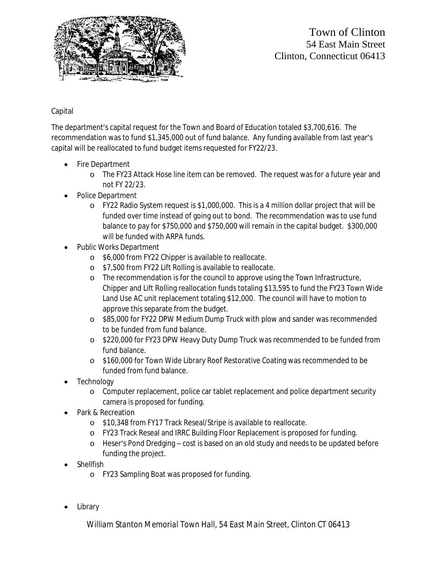

Town of Clinton 54 East Main Street Clinton, Connecticut 06413

# Capital

The department's capital request for the Town and Board of Education totaled \$3,700,616. The recommendation was to fund \$1,345,000 out of fund balance. Any funding available from last year's capital will be reallocated to fund budget items requested for FY22/23.

- Fire Department
	- o The FY23 Attack Hose line item can be removed. The request was for a future year and not FY 22/23.
- Police Department
	- o FY22 Radio System request is \$1,000,000. This is a 4 million dollar project that will be funded over time instead of going out to bond. The recommendation was to use fund balance to pay for \$750,000 and \$750,000 will remain in the capital budget. \$300,000 will be funded with ARPA funds.
- Public Works Department
	- o \$6,000 from FY22 Chipper is available to reallocate.
	- o \$7,500 from FY22 Lift Rolling is available to reallocate.
	- o The recommendation is for the council to approve using the Town Infrastructure, Chipper and Lift Rolling reallocation funds totaling \$13,595 to fund the FY23 Town Wide Land Use AC unit replacement totaling \$12,000. The council will have to motion to approve this separate from the budget.
	- o \$85,000 for FY22 DPW Medium Dump Truck with plow and sander was recommended to be funded from fund balance.
	- o \$220,000 for FY23 DPW Heavy Duty Dump Truck was recommended to be funded from fund balance.
	- o \$160,000 for Town Wide Library Roof Restorative Coating was recommended to be funded from fund balance.
- **Technology** 
	- o Computer replacement, police car tablet replacement and police department security camera is proposed for funding.
- Park & Recreation
	- o \$10,348 from FY17 Track Reseal/Stripe is available to reallocate.
	- o FY23 Track Reseal and IRRC Building Floor Replacement is proposed for funding.
	- o Heser's Pond Dredging cost is based on an old study and needs to be updated before funding the project.
- Shellfish
	- o FY23 Sampling Boat was proposed for funding.
- Library

*William Stanton Memorial Town Hall, 54 East Main Street, Clinton CT 06413*